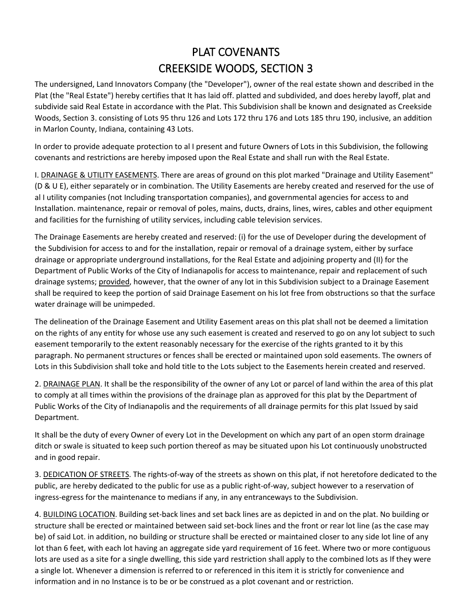## PLAT COVENANTS CREEKSIDE WOODS, SECTION 3

The undersigned, Land Innovators Company (the "Developer"), owner of the real estate shown and described in the Plat (the "Real Estate") hereby certifies that It has laid off. platted and subdivided, and does hereby layoff, plat and subdivide said Real Estate in accordance with the Plat. This Subdivision shall be known and designated as Creekside Woods, Section 3. consisting of Lots 95 thru 126 and Lots 172 thru 176 and Lots 185 thru 190, inclusive, an addition in Marlon County, Indiana, containing 43 Lots.

In order to provide adequate protection to al I present and future Owners of Lots in this Subdivision, the following covenants and restrictions are hereby imposed upon the Real Estate and shall run with the Real Estate.

I. DRAINAGE & UTILITY EASEMENTS. There are areas of ground on this plot marked "Drainage and Utility Easement" (D & U E), either separately or in combination. The Utility Easements are hereby created and reserved for the use of al I utility companies (not Including transportation companies), and governmental agencies for access to and Installation. maintenance, repair or removal of poles, mains, ducts, drains, lines, wires, cables and other equipment and facilities for the furnishing of utility services, including cable television services.

The Drainage Easements are hereby created and reserved: (i) for the use of Developer during the development of the Subdivision for access to and for the installation, repair or removal of a drainage system, either by surface drainage or appropriate underground installations, for the Real Estate and adjoining property and (II) for the Department of Public Works of the City of Indianapolis for access to maintenance, repair and replacement of such drainage systems; provided, however, that the owner of any lot in this Subdivision subject to a Drainage Easement shall be required to keep the portion of said Drainage Easement on his lot free from obstructions so that the surface water drainage will be unimpeded.

The delineation of the Drainage Easement and Utility Easement areas on this plat shall not be deemed a limitation on the rights of any entity for whose use any such easement is created and reserved to go on any lot subject to such easement temporarily to the extent reasonably necessary for the exercise of the rights granted to it by this paragraph. No permanent structures or fences shall be erected or maintained upon sold easements. The owners of Lots in this Subdivision shall toke and hold title to the Lots subject to the Easements herein created and reserved.

2. DRAINAGE PLAN. It shall be the responsibility of the owner of any Lot or parcel of land within the area of this plat to comply at all times within the provisions of the drainage plan as approved for this plat by the Department of Public Works of the City of Indianapolis and the requirements of all drainage permits for this plat Issued by said Department.

It shall be the duty of every Owner of every Lot in the Development on which any part of an open storm drainage ditch or swale is situated to keep such portion thereof as may be situated upon his Lot continuously unobstructed and in good repair.

3. DEDICATION OF STREETS. The rights-of-way of the streets as shown on this plat, if not heretofore dedicated to the public, are hereby dedicated to the public for use as a public right-of-way, subject however to a reservation of ingress-egress for the maintenance to medians if any, in any entranceways to the Subdivision.

4. BUILDING LOCATION. Building set-back lines and set back lines are as depicted in and on the plat. No building or structure shall be erected or maintained between said set-bock lines and the front or rear lot line (as the case may be) of said Lot. in addition, no building or structure shall be erected or maintained closer to any side lot line of any lot than 6 feet, with each lot having an aggregate side yard requirement of 16 feet. Where two or more contiguous lots are used as a site for a single dwelling, this side yard restriction shall apply to the combined lots as If they were a single lot. Whenever a dimension is referred to or referenced in this item it is strictly for convenience and information and in no Instance is to be or be construed as a plot covenant and or restriction.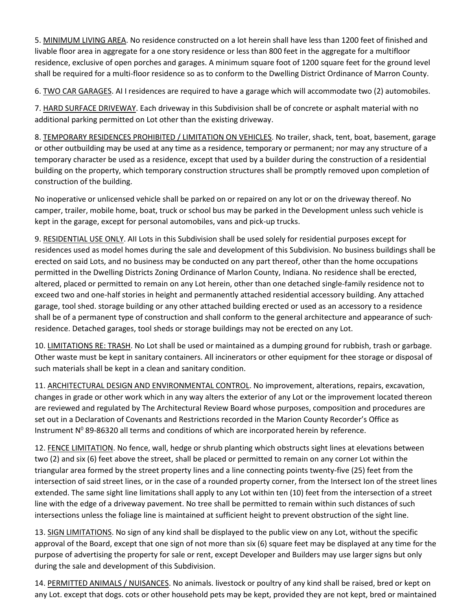5. MINIMUM LIVING AREA. No residence constructed on a lot herein shall have less than 1200 feet of finished and livable floor area in aggregate for a one story residence or less than 800 feet in the aggregate for a multifloor residence, exclusive of open porches and garages. A minimum square foot of 1200 square feet for the ground level shall be required for a multi-floor residence so as to conform to the Dwelling District Ordinance of Marron County.

6. TWO CAR GARAGES. AI I residences are required to have a garage which will accommodate two (2) automobiles.

7. HARD SURFACE DRIVEWAY. Each driveway in this Subdivision shall be of concrete or asphalt material with no additional parking permitted on Lot other than the existing driveway.

8. TEMPORARY RESIDENCES PROHIBITED / LIMITATION ON VEHICLES. No trailer, shack, tent, boat, basement, garage or other outbuilding may be used at any time as a residence, temporary or permanent; nor may any structure of a temporary character be used as a residence, except that used by a builder during the construction of a residential building on the property, which temporary construction structures shall be promptly removed upon completion of construction of the building.

No inoperative or unlicensed vehicle shall be parked on or repaired on any lot or on the driveway thereof. No camper, trailer, mobile home, boat, truck or school bus may be parked in the Development unless such vehicle is kept in the garage, except for personal automobiles, vans and pick-up trucks.

9. RESIDENTIAL USE ONLY. AII Lots in this Subdivision shall be used solely for residential purposes except for residences used as model homes during the sale and development of this Subdivision. No business buildings shall be erected on said Lots, and no business may be conducted on any part thereof, other than the home occupations permitted in the Dwelling Districts Zoning Ordinance of Marlon County, Indiana. No residence shall be erected, altered, placed or permitted to remain on any Lot herein, other than one detached single-family residence not to exceed two and one-half stories in height and permanently attached residential accessory building. Any attached garage, tool shed. storage building or any other attached building erected or used as an accessory to a residence shall be of a permanent type of construction and shall conform to the general architecture and appearance of such· residence. Detached garages, tool sheds or storage buildings may not be erected on any Lot.

10. LIMITATIONS RE: TRASH. No Lot shall be used or maintained as a dumping ground for rubbish, trash or garbage. Other waste must be kept in sanitary containers. All incinerators or other equipment for thee storage or disposal of such materials shall be kept in a clean and sanitary condition.

11. ARCHITECTURAL DESIGN AND ENVIRONMENTAL CONTROL. No improvement, alterations, repairs, excavation, changes in grade or other work which in any way alters the exterior of any Lot or the improvement located thereon are reviewed and regulated by The Architectural Review Board whose purposes, composition and procedures are set out in a Declaration of Covenants and Restrictions recorded in the Marion County Recorder's Office as Instrument  $N^0$  89-86320 all terms and conditions of which are incorporated herein by reference.

12. FENCE LIMITATION. No fence, wall, hedge or shrub planting which obstructs sight lines at elevations between two (2) and six (6) feet above the street, shall be placed or permitted to remain on any corner Lot within the triangular area formed by the street property lines and a line connecting points twenty-five (25) feet from the intersection of said street lines, or in the case of a rounded property corner, from the Intersect Ion of the street lines extended. The same sight line limitations shall apply to any Lot within ten (10) feet from the intersection of a street line with the edge of a driveway pavement. No tree shall be permitted to remain within such distances of such intersections unless the foliage line is maintained at sufficient height to prevent obstruction of the sight line.

13. SIGN LIMITATIONS. No sign of any kind shall be displayed to the public view on any Lot, without the specific approval of the Board, except that one sign of not more than six (6) square feet may be displayed at any time for the purpose of advertising the property for sale or rent, except Developer and Builders may use larger signs but only during the sale and development of this Subdivision.

14. PERMITTED ANIMALS / NUISANCES. No animals. livestock or poultry of any kind shall be raised, bred or kept on any Lot. except that dogs. cots or other household pets may be kept, provided they are not kept, bred or maintained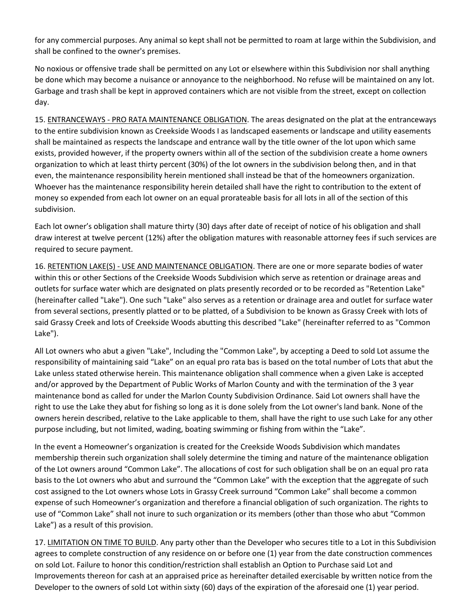for any commercial purposes. Any animal so kept shall not be permitted to roam at large within the Subdivision, and shall be confined to the owner's premises.

No noxious or offensive trade shall be permitted on any Lot or elsewhere within this Subdivision nor shall anything be done which may become a nuisance or annoyance to the neighborhood. No refuse will be maintained on any lot. Garbage and trash shall be kept in approved containers which are not visible from the street, except on collection day.

15. ENTRANCEWAYS - PRO RATA MAINTENANCE OBLIGATION. The areas designated on the plat at the entranceways to the entire subdivision known as Creekside Woods I as landscaped easements or landscape and utility easements shall be maintained as respects the landscape and entrance wall by the title owner of the lot upon which same exists, provided however, if the property owners within all of the section of the subdivision create a home owners organization to which at least thirty percent (30%) of the lot owners in the subdivision belong then, and in that even, the maintenance responsibility herein mentioned shall instead be that of the homeowners organization. Whoever has the maintenance responsibility herein detailed shall have the right to contribution to the extent of money so expended from each lot owner on an equal prorateable basis for all lots in all of the section of this subdivision.

Each lot owner's obligation shall mature thirty (30) days after date of receipt of notice of his obligation and shall draw interest at twelve percent (12%) after the obligation matures with reasonable attorney fees if such services are required to secure payment.

16. RETENTION LAKE(S) - USE AND MAINTENANCE OBLIGATION. There are one or more separate bodies of water within this or other Sections of the Creekside Woods Subdivision which serve as retention or drainage areas and outlets for surface water which are designated on plats presently recorded or to be recorded as "Retention Lake" (hereinafter called "Lake"). One such "Lake" also serves as a retention or drainage area and outlet for surface water from several sections, presently platted or to be platted, of a Subdivision to be known as Grassy Creek with lots of said Grassy Creek and lots of Creekside Woods abutting this described "Lake" (hereinafter referred to as "Common Lake").

All Lot owners who abut a given "Lake", Including the "Common Lake", by accepting a Deed to sold Lot assume the responsibility of maintaining said "Lake" on an equal pro rata bas is based on the total number of Lots that abut the Lake unless stated otherwise herein. This maintenance obligation shall commence when a given Lake is accepted and/or approved by the Department of Public Works of Marlon County and with the termination of the 3 year maintenance bond as called for under the Marlon County Subdivision Ordinance. Said Lot owners shall have the right to use the Lake they abut for fishing so long as it is done solely from the Lot owner's land bank. None of the owners herein described, relative to the Lake applicable to them, shall have the right to use such Lake for any other purpose including, but not limited, wading, boating swimming or fishing from within the "Lake".

In the event a Homeowner's organization is created for the Creekside Woods Subdivision which mandates membership therein such organization shall solely determine the timing and nature of the maintenance obligation of the Lot owners around "Common Lake". The allocations of cost for such obligation shall be on an equal pro rata basis to the Lot owners who abut and surround the "Common Lake" with the exception that the aggregate of such cost assigned to the Lot owners whose Lots in Grassy Creek surround "Common Lake" shall become a common expense of such Homeowner's organization and therefore a financial obligation of such organization. The rights to use of "Common Lake" shall not inure to such organization or its members (other than those who abut "Common Lake") as a result of this provision.

17. LIMITATION ON TIME TO BUILD. Any party other than the Developer who secures title to a Lot in this Subdivision agrees to complete construction of any residence on or before one (1) year from the date construction commences on sold Lot. Failure to honor this condition/restriction shall establish an Option to Purchase said Lot and Improvements thereon for cash at an appraised price as hereinafter detailed exercisable by written notice from the Developer to the owners of sold Lot within sixty (60) days of the expiration of the aforesaid one (1) year period.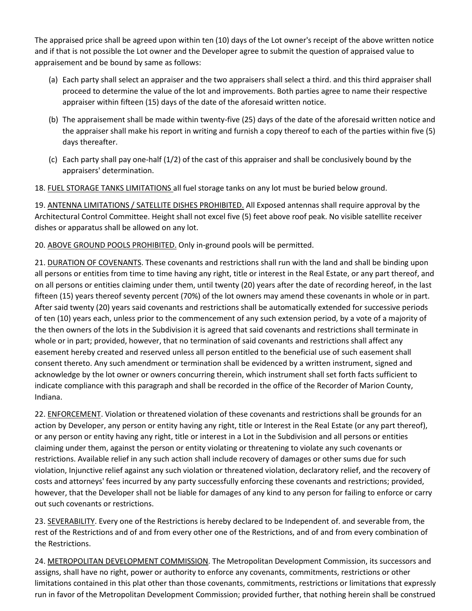The appraised price shall be agreed upon within ten (10) days of the Lot owner's receipt of the above written notice and if that is not possible the Lot owner and the Developer agree to submit the question of appraised value to appraisement and be bound by same as follows:

- (a) Each party shall select an appraiser and the two appraisers shall select a third. and this third appraiser shall proceed to determine the value of the lot and improvements. Both parties agree to name their respective appraiser within fifteen (15) days of the date of the aforesaid written notice.
- (b) The appraisement shall be made within twenty-five (25) days of the date of the aforesaid written notice and the appraiser shall make his report in writing and furnish a copy thereof to each of the parties within five (5) days thereafter.
- (c) Each party shall pay one-half (1/2) of the cast of this appraiser and shall be conclusively bound by the appraisers' determination.

18. FUEL STORAGE TANKS LIMITATIONS all fuel storage tanks on any lot must be buried below ground.

19. ANTENNA LIMITATIONS / SATELLITE DISHES PROHIBITED. All Exposed antennas shall require approval by the Architectural Control Committee. Height shall not excel five (5) feet above roof peak. No visible satellite receiver dishes or apparatus shall be allowed on any lot.

20. ABOVE GROUND POOLS PROHIBITED. Only in-ground pools will be permitted.

21. DURATION OF COVENANTS. These covenants and restrictions shall run with the land and shall be binding upon all persons or entities from time to time having any right, title or interest in the Real Estate, or any part thereof, and on all persons or entities claiming under them, until twenty (20) years after the date of recording hereof, in the last fifteen (15) years thereof seventy percent (70%) of the lot owners may amend these covenants in whole or in part. After said twenty (20) years said covenants and restrictions shall be automatically extended for successive periods of ten (10) years each, unless prior to the commencement of any such extension period, by a vote of a majority of the then owners of the lots in the Subdivision it is agreed that said covenants and restrictions shall terminate in whole or in part; provided, however, that no termination of said covenants and restrictions shall affect any easement hereby created and reserved unless all person entitled to the beneficial use of such easement shall consent thereto. Any such amendment or termination shall be evidenced by a written instrument, signed and acknowledge by the lot owner or owners concurring therein, which instrument shall set forth facts sufficient to indicate compliance with this paragraph and shall be recorded in the office of the Recorder of Marion County, Indiana.

22. ENFORCEMENT. Violation or threatened violation of these covenants and restrictions shall be grounds for an action by Developer, any person or entity having any right, title or Interest in the Real Estate (or any part thereof), or any person or entity having any right, title or interest in a Lot in the Subdivision and all persons or entities claiming under them, against the person or entity violating or threatening to violate any such covenants or restrictions. Available relief in any such action shall include recovery of damages or other sums due for such violation, Injunctive relief against any such violation or threatened violation, declaratory relief, and the recovery of costs and attorneys' fees incurred by any party successfully enforcing these covenants and restrictions; provided, however, that the Developer shall not be liable for damages of any kind to any person for failing to enforce or carry out such covenants or restrictions.

23. SEVERABILITY. Every one of the Restrictions is hereby declared to be Independent of. and severable from, the rest of the Restrictions and of and from every other one of the Restrictions, and of and from every combination of the Restrictions.

24. METROPOLITAN DEVELOPMENT COMMISSION. The Metropolitan Development Commission, its successors and assigns, shall have no right, power or authority to enforce any covenants, commitments, restrictions or other limitations contained in this plat other than those covenants, commitments, restrictions or limitations that expressly run in favor of the Metropolitan Development Commission; provided further, that nothing herein shall be construed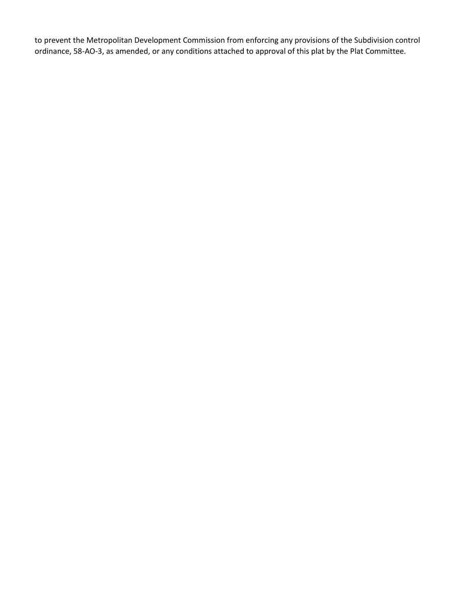to prevent the Metropolitan Development Commission from enforcing any provisions of the Subdivision control ordinance, 58-AO-3, as amended, or any conditions attached to approval of this plat by the Plat Committee.